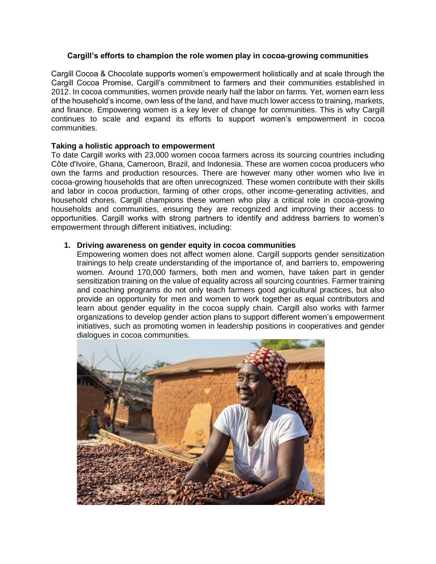## **Cargill's efforts to champion the role women play in cocoa-growing communities**

Cargill Cocoa & Chocolate supports women's empowerment holistically and at scale through the Cargill Cocoa Promise, Cargill's commitment to farmers and their communities established in 2012. In cocoa communities, women provide nearly half the labor on farms. Yet, women earn less of the household's income, own less of the land, and have much lower access to training, markets, and finance. Empowering women is a key lever of change for communities. This is why Cargill continues to scale and expand its efforts to support women's empowerment in cocoa communities.

## **Taking a holistic approach to empowerment**

To date Cargill works with 23,000 women cocoa farmers across its sourcing countries including Côte d'Ivoire, Ghana, Cameroon, Brazil, and Indonesia. These are women cocoa producers who own the farms and production resources. There are however many other women who live in cocoa-growing households that are often unrecognized. These women contribute with their skills and labor in cocoa production, farming of other crops, other income-generating activities, and household chores. Cargill champions these women who play a critical role in cocoa-growing households and communities, ensuring they are recognized and improving their access to opportunities. Cargill works with strong partners to identify and address barriers to women's empowerment through different initiatives, including:

## **1. Driving awareness on gender equity in cocoa communities**

Empowering women does not affect women alone. Cargill supports gender sensitization trainings to help create understanding of the importance of, and barriers to, empowering women. Around 170,000 farmers, both men and women, have taken part in gender sensitization training on the value of equality across all sourcing countries. Farmer training and coaching programs do not only teach farmers good agricultural practices, but also provide an opportunity for men and women to work together as equal contributors and learn about gender equality in the cocoa supply chain. Cargill also works with farmer organizations to develop gender action plans to support different women's empowerment initiatives, such as promoting women in leadership positions in cooperatives and gender dialogues in cocoa communities.

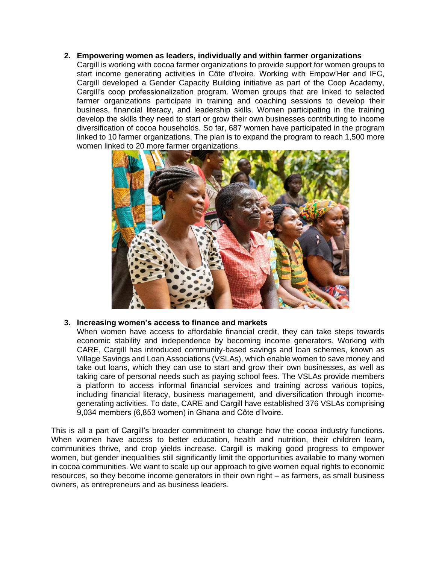**2. Empowering women as leaders, individually and within farmer organizations**

Cargill is working with cocoa farmer organizations to provide support for women groups to start income generating activities in Côte d'Ivoire. Working with Empow'Her and IFC, Cargill developed a Gender Capacity Building initiative as part of the Coop Academy, Cargill's coop professionalization program. Women groups that are linked to selected farmer organizations participate in training and coaching sessions to develop their business, financial literacy, and leadership skills. Women participating in the training develop the skills they need to start or grow their own businesses contributing to income diversification of cocoa households. So far, 687 women have participated in the program linked to 10 farmer organizations. The plan is to expand the program to reach 1,500 more women linked to 20 more farmer organizations.



# **3. Increasing women's access to finance and markets**

When women have access to affordable financial credit, they can take steps towards economic stability and independence by becoming income generators. Working with CARE, Cargill has introduced community-based savings and loan schemes, known as Village Savings and Loan Associations (VSLAs), which enable women to save money and take out loans, which they can use to start and grow their own businesses, as well as taking care of personal needs such as paying school fees. The VSLAs provide members a platform to access informal financial services and training across various topics, including financial literacy, business management, and diversification through incomegenerating activities. To date, CARE and Cargill have established 376 VSLAs comprising 9,034 members (6,853 women) in Ghana and Côte d'Ivoire.

This is all a part of Cargill's broader commitment to change how the cocoa industry functions. When women have access to better education, health and nutrition, their children learn, communities thrive, and crop yields increase. Cargill is making good progress to empower women, but gender inequalities still significantly limit the opportunities available to many women in cocoa communities. We want to scale up our approach to give women equal rights to economic resources, so they become income generators in their own right – as farmers, as small business owners, as entrepreneurs and as business leaders.